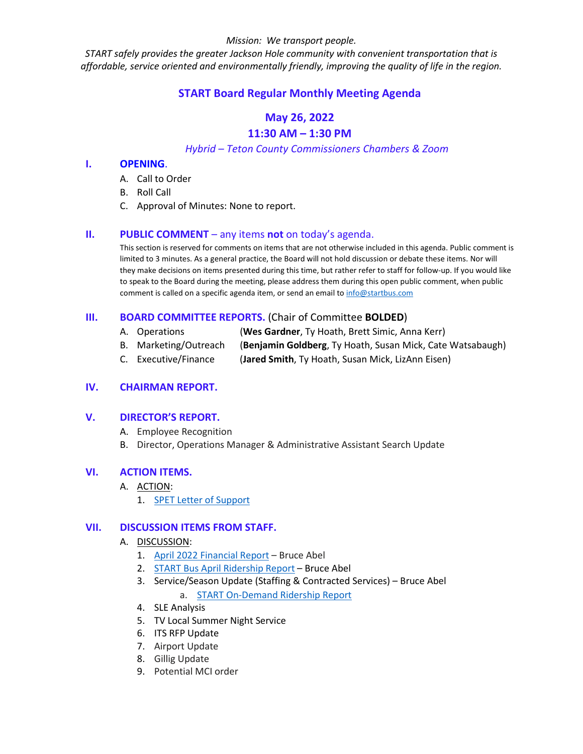#### *Mission: We transport people.*

*START safely provides the greater Jackson Hole community with convenient transportation that is affordable, service oriented and environmentally friendly, improving the quality of life in the region.*

# **START Board Regular Monthly Meeting Agenda**

# **May 26, 2022**

# **11:30 AM – 1:30 PM**

*Hybrid – Teton County Commissioners Chambers & Zoom*

#### **I. OPENING**.

- A. Call to Order
- B. Roll Call
- C. Approval of Minutes: None to report.

## **II. PUBLIC COMMENT** – any items **not** on today's agenda.

This section is reserved for comments on items that are not otherwise included in this agenda. Public comment is limited to 3 minutes. As a general practice, the Board will not hold discussion or debate these items. Nor will they make decisions on items presented during this time, but rather refer to staff for follow-up. If you would like to speak to the Board during the meeting, please address them during this open public comment, when public comment is called on a specific agenda item, or send an email to [info@startbus.com](mailto:info@startbus.com)

# **III. BOARD COMMITTEE REPORTS.** (Chair of Committee **BOLDED**)

- A. Operations (**Wes Gardner**, Ty Hoath, Brett Simic, Anna Kerr)
- B. Marketing/Outreach (**Benjamin Goldberg**, Ty Hoath, Susan Mick, Cate Watsabaugh)
- C. Executive/Finance (**Jared Smith**, Ty Hoath, Susan Mick, LizAnn Eisen)

# **IV. CHAIRMAN REPORT.**

#### **V. DIRECTOR'S REPORT.**

- A. Employee Recognition
- B. Director, Operations Manager & Administrative Assistant Search Update

# **VI. ACTION ITEMS.**

- A. ACTION:
	- 1. [SPET Letter of Support](https://www.jacksonwy.gov/DocumentCenter/View/6321/2022SPETLetterofSupport)

#### **VII. DISCUSSION ITEMS FROM STAFF.**

#### A. DISCUSSION:

- 1. [April 2022 Financial Report](https://www.jacksonwy.gov/DocumentCenter/View/6297/FinReportSTARTFY2022_thru20220430) Bruce Abel
- 2. [START Bus April Ridership Report](https://www.jacksonwy.gov/DocumentCenter/View/6291/STARTBusAprilRidership_final2022) Bruce Abel
- 3. Service/Season Update (Staffing & Contracted Services) Bruce Abel a. [START On-Demand Ridership Report](https://www.jacksonwy.gov/DocumentCenter/View/6289/START-On-Demand-Reporting-April-2022)
- 4. SLE Analysis
- 5. TV Local Summer Night Service
- 6. ITS RFP Update
- 7. Airport Update
- 8. Gillig Update
- 9. Potential MCI order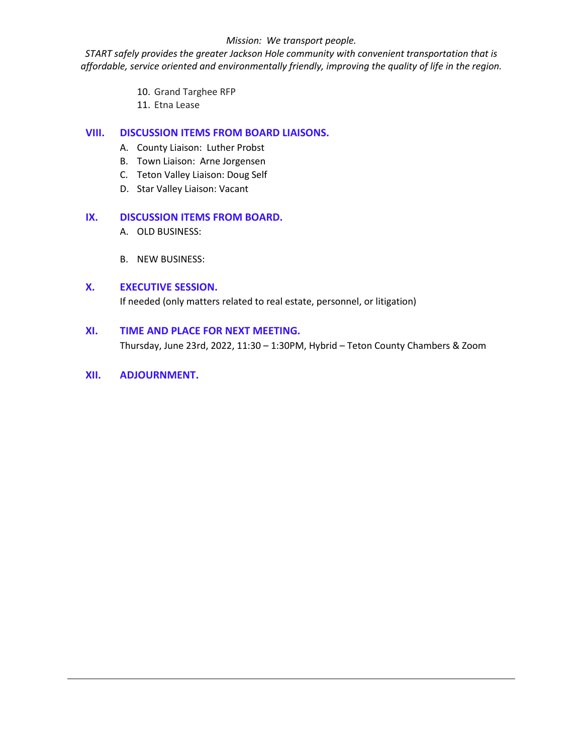#### *Mission: We transport people.*

*START safely provides the greater Jackson Hole community with convenient transportation that is affordable, service oriented and environmentally friendly, improving the quality of life in the region.*

- 10. Grand Targhee RFP
- 11. Etna Lease

## **VIII. DISCUSSION ITEMS FROM BOARD LIAISONS.**

- A. County Liaison: Luther Probst
- B. Town Liaison: Arne Jorgensen
- C. Teton Valley Liaison: Doug Self
- D. Star Valley Liaison: Vacant

## **IX. DISCUSSION ITEMS FROM BOARD.**

- A. OLD BUSINESS:
- B. NEW BUSINESS:

#### **X. EXECUTIVE SESSION.**

If needed (only matters related to real estate, personnel, or litigation)

#### **XI. TIME AND PLACE FOR NEXT MEETING.**

Thursday, June 23rd, 2022, 11:30 – 1:30PM, Hybrid – Teton County Chambers & Zoom

#### **XII. ADJOURNMENT.**